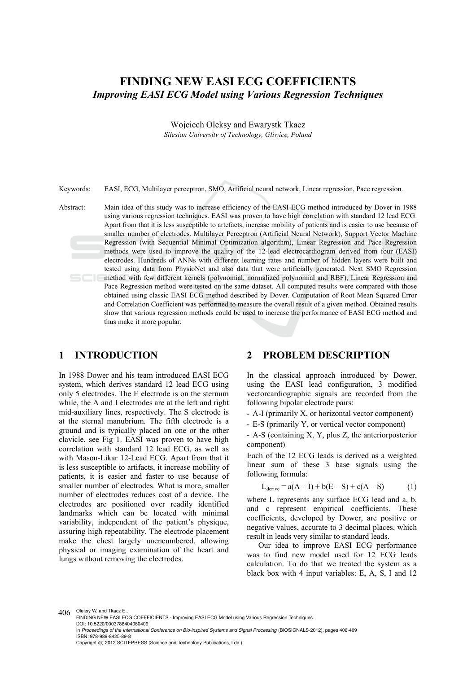# **FINDING NEW EASI ECG COEFFICIENTS**  *Improving EASI ECG Model using Various Regression Techniques*

Wojciech Oleksy and Ewarystk Tkacz *Silesian University of Technology, Gliwice, Poland* 

Keywords: EASI, ECG, Multilayer perceptron, SMO, Artificial neural network, Linear regression, Pace regression.

Abstract: Main idea of this study was to increase efficiency of the EASI ECG method introduced by Dover in 1988 using various regression techniques. EASI was proven to have high correlation with standard 12 lead ECG. Apart from that it is less susceptible to artefacts, increase mobility of patients and is easier to use because of smaller number of electrodes. Multilayer Perceptron (Artificial Neural Network), Support Vector Machine Regression (with Sequential Minimal Optimization algorithm), Linear Regression and Pace Regression methods were used to improve the quality of the 12-lead electrocardiogram derived from four (EASI) electrodes. Hundreds of ANNs with different learning rates and number of hidden layers were built and tested using data from PhysioNet and also data that were artificially generated. Next SMO Regression method with few different kernels (polynomial, normalized polynomial and RBF), Linear Regression and Pace Regression method were tested on the same dataset. All computed results were compared with those obtained using classic EASI ECG method described by Dover. Computation of Root Mean Squared Error and Correlation Coefficient was performed to measure the overall result of a given method. Obtained results show that various regression methods could be used to increase the performance of EASI ECG method and thus make it more popular.

## **1 INTRODUCTION**

In 1988 Dower and his team introduced EASI ECG system, which derives standard 12 lead ECG using only 5 electrodes. The E electrode is on the sternum while, the A and I electrodes are at the left and right mid-auxiliary lines, respectively. The S electrode is at the sternal manubrium. The fifth electrode is a ground and is typically placed on one or the other clavicle, see Fig 1. EASI was proven to have high correlation with standard 12 lead ECG, as well as with Mason-Likar 12-Lead ECG. Apart from that it is less susceptible to artifacts, it increase mobility of patients, it is easier and faster to use because of smaller number of electrodes. What is more, smaller number of electrodes reduces cost of a device. The electrodes are positioned over readily identified landmarks which can be located with minimal variability, independent of the patient's physique, assuring high repeatability. The electrode placement make the chest largely unencumbered, allowing physical or imaging examination of the heart and lungs without removing the electrodes.

#### **2 PROBLEM DESCRIPTION**

In the classical approach introduced by Dower, using the EASI lead configuration, 3 modified vectorcardiographic signals are recorded from the following bipolar electrode pairs:

- A-I (primarily X, or horizontal vector component)

- E-S (primarily Y, or vertical vector component)

- A-S (containing X, Y, plus Z, the anteriorposterior component)

Each of the 12 ECG leads is derived as a weighted linear sum of these 3 base signals using the following formula:

$$
L_{\text{derive}} = a(A - I) + b(E - S) + c(A - S)
$$
 (1)

where L represents any surface ECG lead and a, b, and c represent empirical coefficients. These coefficients, developed by Dower, are positive or negative values, accurate to 3 decimal places, which result in leads very similar to standard leads.

Our idea to improve EASI ECG performance was to find new model used for 12 ECG leads calculation. To do that we treated the system as a black box with 4 input variables: E, A, S, I and 12

406 Oleksy W. and Tkacz E. FINDING NEW EASI ECG COEFFICIENTS - Improving EASI ECG Model using Various Regression Techniques. DOI: 10.5220/0003788404060409 In *Proceedings of the International Conference on Bio-inspired Systems and Signal Processing* (BIOSIGNALS-2012), pages 406-409 ISBN: 978-989-8425-89-8 Copyright © 2012 SCITEPRESS (Science and Technology Publications, Lda.)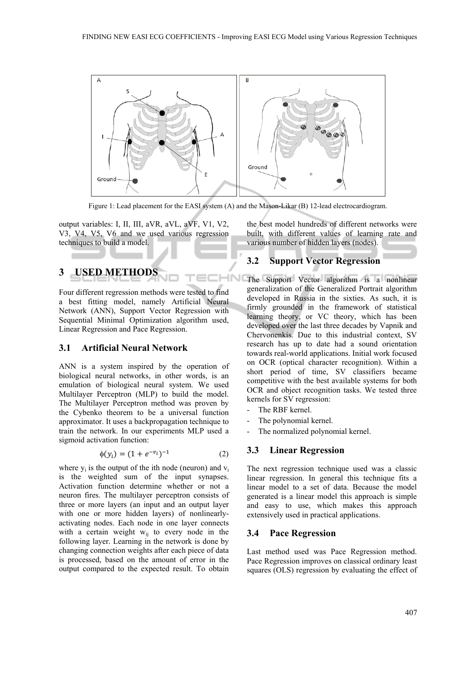

Figure 1: Lead placement for the EASI system (A) and the Mason-Likar (B) 12-lead electrocardiogram.

output variables: I, II, III, aVR, aVL, aVF, V1, V2, V3, V4, V5, V6 and we used various regression techniques to build a model.

# **3 USED METHODS**

Four different regression methods were tested to find a best fitting model, namely Artificial Neural Network (ANN), Support Vector Regression with Sequential Minimal Optimization algorithm used, Linear Regression and Pace Regression.

## **3.1 Artificial Neural Network**

ANN is a system inspired by the operation of biological neural networks, in other words, is an emulation of biological neural system. We used Multilayer Perceptron (MLP) to build the model. The Multilayer Perceptron method was proven by the Cybenko theorem to be a universal function approximator. It uses a backpropagation technique to train the network. In our experiments MLP used a sigmoid activation function:

$$
\phi(y_i) = (1 + e^{-v_i})^{-1} \tag{2}
$$

where  $y_i$  is the output of the ith node (neuron) and  $y_i$ is the weighted sum of the input synapses. Activation function determine whether or not a neuron fires. The multilayer perceptron consists of three or more layers (an input and an output layer with one or more hidden layers) of nonlinearlyactivating nodes. Each node in one layer connects with a certain weight  $w_{ii}$  to every node in the following layer. Learning in the network is done by changing connection weights after each piece of data is processed, based on the amount of error in the output compared to the expected result. To obtain

the best model hundreds of different networks were built, with different values of learning rate and various number of hidden layers (nodes).

## **3.2 Support Vector Regression**

 $HNI$ The Support Vector algorithm is a nonlinear generalization of the Generalized Portrait algorithm developed in Russia in the sixties. As such, it is firmly grounded in the framework of statistical learning theory, or VC theory, which has been developed over the last three decades by Vapnik and Chervonenkis. Due to this industrial context, SV research has up to date had a sound orientation towards real-world applications. Initial work focused on OCR (optical character recognition). Within a short period of time, SV classifiers became competitive with the best available systems for both OCR and object recognition tasks. We tested three kernels for SV regression:

- The RBF kernel.
- The polynomial kernel.
- The normalized polynomial kernel.

## **3.3 Linear Regression**

The next regression technique used was a classic linear regression. In general this technique fits a linear model to a set of data. Because the model generated is a linear model this approach is simple and easy to use, which makes this approach extensively used in practical applications.

## **3.4 Pace Regression**

Last method used was Pace Regression method. Pace Regression improves on classical ordinary least squares (OLS) regression by evaluating the effect of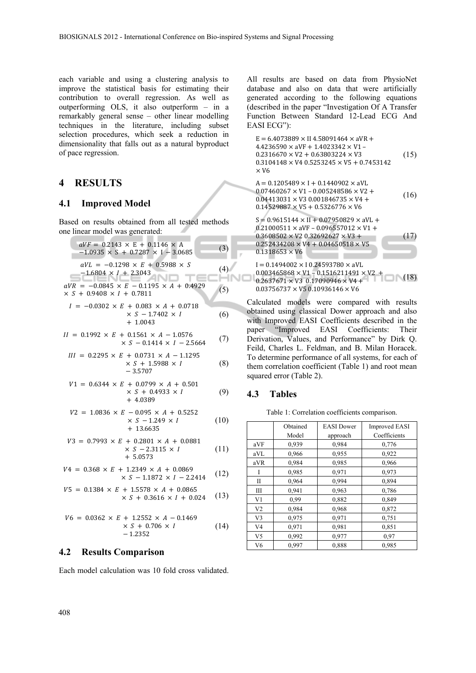each variable and using a clustering analysis to improve the statistical basis for estimating their contribution to overall regression. As well as outperforming OLS, it also outperform – in a remarkably general sense – other linear modelling techniques in the literature, including subset selection procedures, which seek a reduction in dimensionality that falls out as a natural byproduct of pace regression.

## **4 RESULTS**

#### **4.1 Improved Model**

Based on results obtained from all tested methods one linear model was generated:

$$
aVF = 0.2143 \times E + 0.1146 \times A
$$
  
-1.0935 \times S + 0.7287 \times I - 3.0685 (3)  

$$
aVL = -0.1298 \times E + 0.5988 \times S
$$
  
-1.6804 \times I + 2.3043 (4)

$$
aVR = -0.0845 \times E - 0.1195 \times A + 0.4929
$$
  
× S + 0.9408 × I + 0.7811 (5)

$$
I = -0.0302 \times E + 0.083 \times A + 0.0718
$$
  
 
$$
\times S - 1.7402 \times I
$$
  
 
$$
+ 1.0043
$$
 (6)

$$
II = 0.1992 \times E + 0.1561 \times A - 1.0576
$$
  
 
$$
\times S - 0.1414 \times I - 2.5664
$$
 (7)

$$
III = 0.2295 \times E + 0.0731 \times A - 1.1295
$$
  
 
$$
\times S + 1.5988 \times I
$$
  
 
$$
-3.5707
$$
 (8)

$$
V1 = 0.6344 \times E + 0.0799 \times A + 0.501
$$
  
 
$$
\times S + 0.4933 \times I
$$
  
 
$$
+ 4.0389
$$
 (9)

$$
V2 = 1.0836 \times E - 0.095 \times A + 0.5252
$$
  
 
$$
\times S - 1.249 \times I
$$
  
 
$$
+ 13.6635
$$
 (10)

$$
V3 = 0.7993 \times E + 0.2801 \times A + 0.0881
$$
  
 
$$
\times S - 2.3115 \times I
$$
  
 
$$
+ 5.0573
$$
 (11)

$$
V4 = 0.368 \times E + 1.2349 \times A + 0.0869
$$
  
 
$$
\times S - 1.1872 \times I - 2.2414
$$
 (12)

$$
V5 = 0.1384 \times E + 1.5578 \times A + 0.0865
$$
  
 
$$
\times S + 0.3616 \times I + 0.024
$$
 (13)

$$
V6 = 0.0362 \times E + 1.2552 \times A - 0.1469
$$
  
× S + 0.706 × I  
-1.2352 (14)

#### **4.2 Results Comparison**

Each model calculation was 10 fold cross validated.

All results are based on data from PhysioNet database and also on data that were artificially generated according to the following equations (described in the paper "Investigation Of A Transfer Function Between Standard 12-Lead ECG And EASI ECG"):

$$
E = 6.4073889 \times II 4.58091464 \times aVR +\n4.4236590 \times aVF + 1.4023342 \times V1 -\n0.2316670 \times V2 + 0.63803224 \times V3
$$
\n(15)  
\n0.3104148 \times V4 0.5253245 \times V5 + 0.7453142  
\n× V6  
\nA = 0.1205489 \times I + 0.1440902 \times aVL  
\n0.07460267 \times V1 - 0.005248586 \times V2 +  
\n0.04413031 \times V3 0.001846735 \times V4 +  
\n0.14529887 \times V5 + 0.5326776 \times V6  
\nS = 0.9615144 \times II + 0.07950829 \times aVL +  
\n0.21000511 \times aVF - 0.096557012 \times V1 +  
\n0.3608502 \times V2 0.32692627 \times V3 +  
\n0.252434208 \times V4 + 0.04650518 \times V5  
\n0.1318653 \times V6  
\nI = 0.1494002 \times I 0.24593780 \times aVL  
\n0.003465868 \times V1 - 0.1516211491 \times V2 + (18)

 $0.003463606 \times Y1 - 0.1316211491 \times Y2 + 0.2637671 \times Y3 + 0.17090946 \times Y4 +$  (18)  $0.03756737 \times V5 0.10936146 \times V6$ 

Calculated models were compared with results obtained using classical Dower approach and also with Improved EASI Coefficients described in the paper "Improved EASI Coefficients: Their Derivation, Values, and Performance" by Dirk Q. Feild, Charles L. Feldman, and B. Milan Horacek. To determine performance of all systems, for each of them correlation coefficient (Table 1) and root mean squared error (Table 2).

#### **4.3 Tables**

Table 1: Correlation coefficients comparison.

|                | Obtained | <b>EASI</b> Dower | <b>Improved EASI</b> |
|----------------|----------|-------------------|----------------------|
|                | Model    | approach          | Coefficients         |
| aVF            | 0,939    | 0.984             | 0,776                |
| aVL            | 0,966    | 0,955             | 0,922                |
| aVR            | 0,984    | 0,985             | 0,966                |
|                | 0,985    | 0.971             | 0.973                |
| $\mathbf{I}$   | 0,964    | 0,994             | 0,894                |
| Ш              | 0,941    | 0,963             | 0,786                |
| V <sub>1</sub> | 0.99     | 0,882             | 0,849                |
| V <sub>2</sub> | 0,984    | 0,968             | 0,872                |
| V <sub>3</sub> | 0,975    | 0.971             | 0,751                |
| V <sub>4</sub> | 0,971    | 0.981             | 0,851                |
| V5             | 0,992    | 0,977             | 0.97                 |
| V6             | 0,997    | 0,888             | 0,985                |